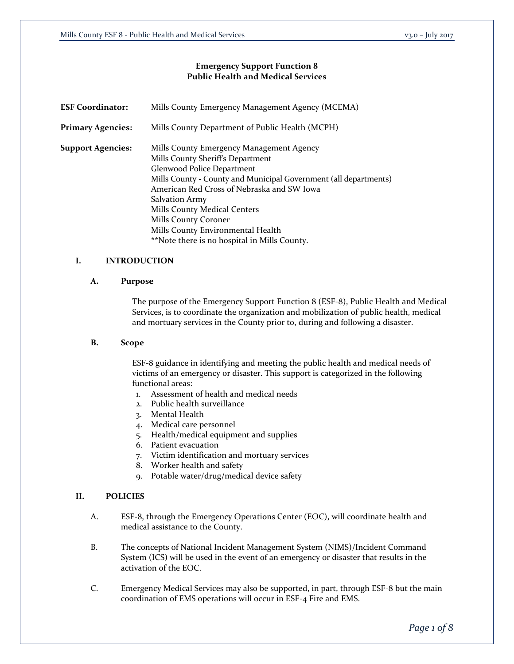## **Emergency Support Function 8 Public Health and Medical Services**

| <b>ESF Coordinator:</b>  | Mills County Emergency Management Agency (MCEMA)                 |
|--------------------------|------------------------------------------------------------------|
| <b>Primary Agencies:</b> | Mills County Department of Public Health (MCPH)                  |
| <b>Support Agencies:</b> | Mills County Emergency Management Agency                         |
|                          | Mills County Sheriff's Department                                |
|                          | Glenwood Police Department                                       |
|                          | Mills County - County and Municipal Government (all departments) |
|                          | American Red Cross of Nebraska and SW Iowa                       |
|                          | <b>Salvation Army</b>                                            |
|                          | Mills County Medical Centers                                     |
|                          | Mills County Coroner                                             |
|                          | Mills County Environmental Health                                |
|                          | **Note there is no hospital in Mills County.                     |

# **I. INTRODUCTION**

### **A. Purpose**

The purpose of the Emergency Support Function 8 (ESF-8), Public Health and Medical Services, is to coordinate the organization and mobilization of public health, medical and mortuary services in the County prior to, during and following a disaster.

# **B. Scope**

ESF-8 guidance in identifying and meeting the public health and medical needs of victims of an emergency or disaster. This support is categorized in the following functional areas:

- 1. Assessment of health and medical needs
- 2. Public health surveillance
- 3. Mental Health
- 4. Medical care personnel
- 5. Health/medical equipment and supplies
- 6. Patient evacuation
- 7. Victim identification and mortuary services
- 8. Worker health and safety
- 9. Potable water/drug/medical device safety

## **II. POLICIES**

- A. ESF-8, through the Emergency Operations Center (EOC), will coordinate health and medical assistance to the County.
- B. The concepts of National Incident Management System (NIMS)/Incident Command System (ICS) will be used in the event of an emergency or disaster that results in the activation of the EOC.
- C. Emergency Medical Services may also be supported, in part, through ESF-8 but the main coordination of EMS operations will occur in ESF-4 Fire and EMS.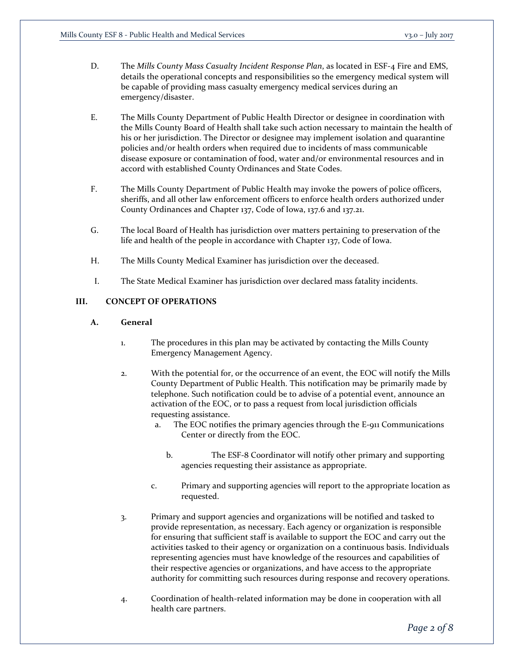- D. The *Mills County Mass Casualty Incident Response Plan*, as located in ESF-4 Fire and EMS, details the operational concepts and responsibilities so the emergency medical system will be capable of providing mass casualty emergency medical services during an emergency/disaster.
- E. The Mills County Department of Public Health Director or designee in coordination with the Mills County Board of Health shall take such action necessary to maintain the health of his or her jurisdiction. The Director or designee may implement isolation and quarantine policies and/or health orders when required due to incidents of mass communicable disease exposure or contamination of food, water and/or environmental resources and in accord with established County Ordinances and State Codes.
- F. The Mills County Department of Public Health may invoke the powers of police officers, sheriffs, and all other law enforcement officers to enforce health orders authorized under County Ordinances and Chapter 137, Code of Iowa, 137.6 and 137.21.
- G. The local Board of Health has jurisdiction over matters pertaining to preservation of the life and health of the people in accordance with Chapter 137, Code of Iowa.
- H. The Mills County Medical Examiner has jurisdiction over the deceased.
- I. The State Medical Examiner has jurisdiction over declared mass fatality incidents.

# **III. CONCEPT OF OPERATIONS**

### **A. General**

- 1. The procedures in this plan may be activated by contacting the Mills County Emergency Management Agency.
- 2. With the potential for, or the occurrence of an event, the EOC will notify the Mills County Department of Public Health. This notification may be primarily made by telephone. Such notification could be to advise of a potential event, announce an activation of the EOC, or to pass a request from local jurisdiction officials requesting assistance.
	- a. The EOC notifies the primary agencies through the E-911 Communications Center or directly from the EOC.
		- b. The ESF-8 Coordinator will notify other primary and supporting agencies requesting their assistance as appropriate.
	- c. Primary and supporting agencies will report to the appropriate location as requested.
- 3. Primary and support agencies and organizations will be notified and tasked to provide representation, as necessary. Each agency or organization is responsible for ensuring that sufficient staff is available to support the EOC and carry out the activities tasked to their agency or organization on a continuous basis. Individuals representing agencies must have knowledge of the resources and capabilities of their respective agencies or organizations, and have access to the appropriate authority for committing such resources during response and recovery operations.
- 4. Coordination of health-related information may be done in cooperation with all health care partners.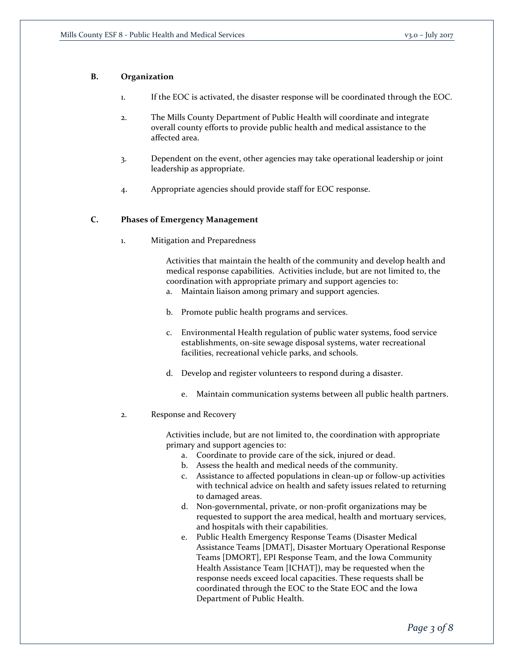## **B. Organization**

- 1. If the EOC is activated, the disaster response will be coordinated through the EOC.
- 2. The Mills County Department of Public Health will coordinate and integrate overall county efforts to provide public health and medical assistance to the affected area.
- 3. Dependent on the event, other agencies may take operational leadership or joint leadership as appropriate.
- 4. Appropriate agencies should provide staff for EOC response.

# **C. Phases of Emergency Management**

1. Mitigation and Preparedness

Activities that maintain the health of the community and develop health and medical response capabilities. Activities include, but are not limited to, the coordination with appropriate primary and support agencies to:

- a. Maintain liaison among primary and support agencies.
- b. Promote public health programs and services.
- c. Environmental Health regulation of public water systems, food service establishments, on-site sewage disposal systems, water recreational facilities, recreational vehicle parks, and schools.
- d. Develop and register volunteers to respond during a disaster.
	- e. Maintain communication systems between all public health partners.
- 2. Response and Recovery

Activities include, but are not limited to, the coordination with appropriate primary and support agencies to:

- a. Coordinate to provide care of the sick, injured or dead.
- b. Assess the health and medical needs of the community.
- c. Assistance to affected populations in clean-up or follow-up activities with technical advice on health and safety issues related to returning to damaged areas.
- d. Non-governmental, private, or non-profit organizations may be requested to support the area medical, health and mortuary services, and hospitals with their capabilities.
- e. Public Health Emergency Response Teams (Disaster Medical Assistance Teams [DMAT], Disaster Mortuary Operational Response Teams [DMORT], EPI Response Team, and the Iowa Community Health Assistance Team [ICHAT]), may be requested when the response needs exceed local capacities. These requests shall be coordinated through the EOC to the State EOC and the Iowa Department of Public Health.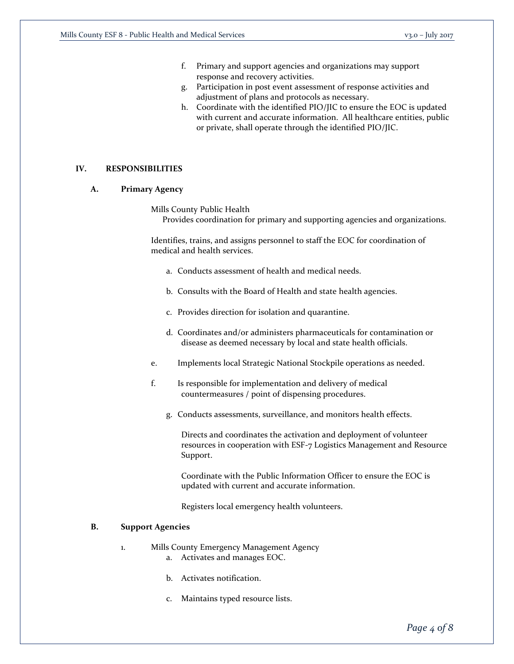- f. Primary and support agencies and organizations may support response and recovery activities.
- g. Participation in post event assessment of response activities and adjustment of plans and protocols as necessary.
- h. Coordinate with the identified PIO/JIC to ensure the EOC is updated with current and accurate information. All healthcare entities, public or private, shall operate through the identified PIO/JIC.

# **IV. RESPONSIBILITIES**

## **A. Primary Agency**

Mills County Public Health Provides coordination for primary and supporting agencies and organizations.

Identifies, trains, and assigns personnel to staff the EOC for coordination of medical and health services.

- a. Conducts assessment of health and medical needs.
- b. Consults with the Board of Health and state health agencies.
- c. Provides direction for isolation and quarantine.
- d. Coordinates and/or administers pharmaceuticals for contamination or disease as deemed necessary by local and state health officials.
- e. Implements local Strategic National Stockpile operations as needed.
- f. Is responsible for implementation and delivery of medical countermeasures / point of dispensing procedures.
	- g. Conducts assessments, surveillance, and monitors health effects.

Directs and coordinates the activation and deployment of volunteer resources in cooperation with ESF-7 Logistics Management and Resource Support.

Coordinate with the Public Information Officer to ensure the EOC is updated with current and accurate information.

Registers local emergency health volunteers.

#### **B. Support Agencies**

- 1. Mills County Emergency Management Agency
	- a. Activates and manages EOC.
	- b. Activates notification.
	- c. Maintains typed resource lists.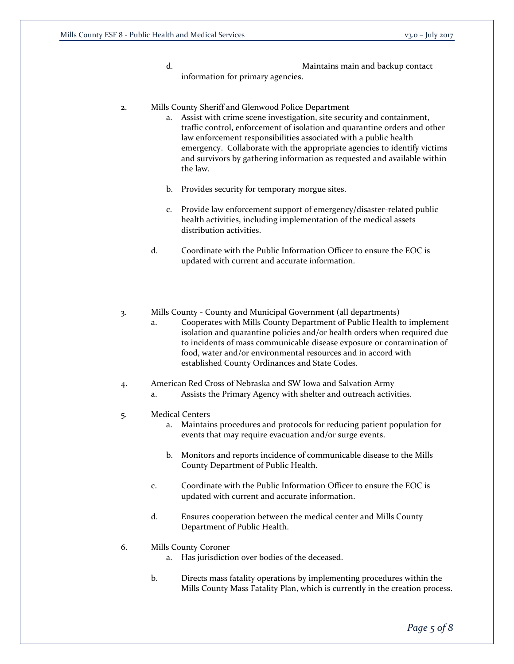- d. Maintains main and backup contact information for primary agencies.
- 2. Mills County Sheriff and Glenwood Police Department
	- a. Assist with crime scene investigation, site security and containment, traffic control, enforcement of isolation and quarantine orders and other law enforcement responsibilities associated with a public health emergency. Collaborate with the appropriate agencies to identify victims and survivors by gathering information as requested and available within the law.
	- b. Provides security for temporary morgue sites.
	- c. Provide law enforcement support of emergency/disaster-related public health activities, including implementation of the medical assets distribution activities.
	- d. Coordinate with the Public Information Officer to ensure the EOC is updated with current and accurate information.
- 3. Mills County County and Municipal Government (all departments)
	- a. Cooperates with Mills County Department of Public Health to implement isolation and quarantine policies and/or health orders when required due to incidents of mass communicable disease exposure or contamination of food, water and/or environmental resources and in accord with established County Ordinances and State Codes.
- 4. American Red Cross of Nebraska and SW Iowa and Salvation Army
	- a. Assists the Primary Agency with shelter and outreach activities.
- 5. Medical Centers
	- a. Maintains procedures and protocols for reducing patient population for events that may require evacuation and/or surge events.
	- b. Monitors and reports incidence of communicable disease to the Mills County Department of Public Health.
	- c. Coordinate with the Public Information Officer to ensure the EOC is updated with current and accurate information.
	- d. Ensures cooperation between the medical center and Mills County Department of Public Health.
- 6. Mills County Coroner
	- a. Has jurisdiction over bodies of the deceased.
	- b. Directs mass fatality operations by implementing procedures within the Mills County Mass Fatality Plan, which is currently in the creation process.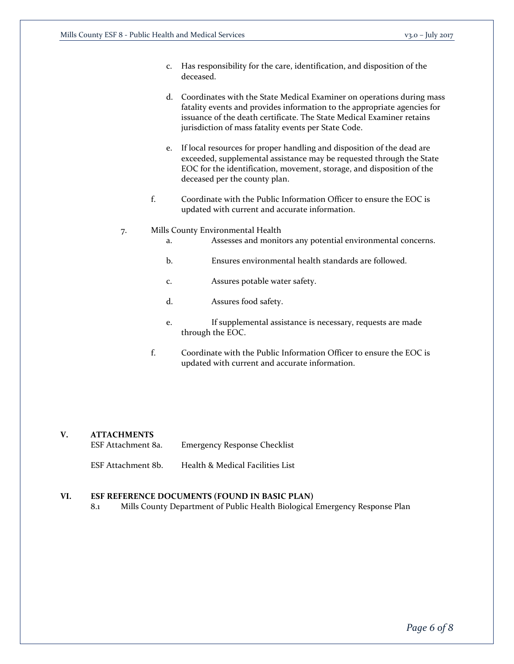- c. Has responsibility for the care, identification, and disposition of the deceased.
- d. Coordinates with the State Medical Examiner on operations during mass fatality events and provides information to the appropriate agencies for issuance of the death certificate. The State Medical Examiner retains jurisdiction of mass fatality events per State Code.
- e. If local resources for proper handling and disposition of the dead are exceeded, supplemental assistance may be requested through the State EOC for the identification, movement, storage, and disposition of the deceased per the county plan.
- f. Coordinate with the Public Information Officer to ensure the EOC is updated with current and accurate information.

#### 7. Mills County Environmental Health

- a. Assesses and monitors any potential environmental concerns.
- b. Ensures environmental health standards are followed.
- c. Assures potable water safety.
- d. Assures food safety.
- e. If supplemental assistance is necessary, requests are made through the EOC.
- f. Coordinate with the Public Information Officer to ensure the EOC is updated with current and accurate information.

# **V. ATTACHMENTS**

| ESF Attachment 8a. | <b>Emergency Response Checklist</b> |
|--------------------|-------------------------------------|
|--------------------|-------------------------------------|

ESF Attachment 8b. Health & Medical Facilities List

#### **VI. ESF REFERENCE DOCUMENTS (FOUND IN BASIC PLAN)**

8.1 Mills County Department of Public Health Biological Emergency Response Plan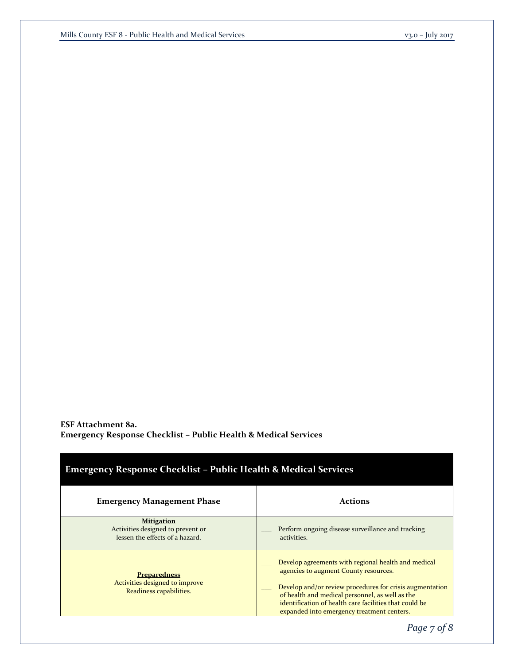**ESF Attachment 8a. Emergency Response Checklist – Public Health & Medical Services**

| <b>Emergency Response Checklist - Public Health &amp; Medical Services</b>                |                                                                                                                                                                                                                                                                                                                     |  |  |  |  |
|-------------------------------------------------------------------------------------------|---------------------------------------------------------------------------------------------------------------------------------------------------------------------------------------------------------------------------------------------------------------------------------------------------------------------|--|--|--|--|
| <b>Emergency Management Phase</b>                                                         | <b>Actions</b>                                                                                                                                                                                                                                                                                                      |  |  |  |  |
| <b>Mitigation</b><br>Activities designed to prevent or<br>lessen the effects of a hazard. | Perform ongoing disease surveillance and tracking<br>activities.                                                                                                                                                                                                                                                    |  |  |  |  |
| <b>Preparedness</b><br>Activities designed to improve<br>Readiness capabilities.          | Develop agreements with regional health and medical<br>agencies to augment County resources.<br>Develop and/or review procedures for crisis augmentation<br>of health and medical personnel, as well as the<br>identification of health care facilities that could be<br>expanded into emergency treatment centers. |  |  |  |  |

*Page 7 of 8*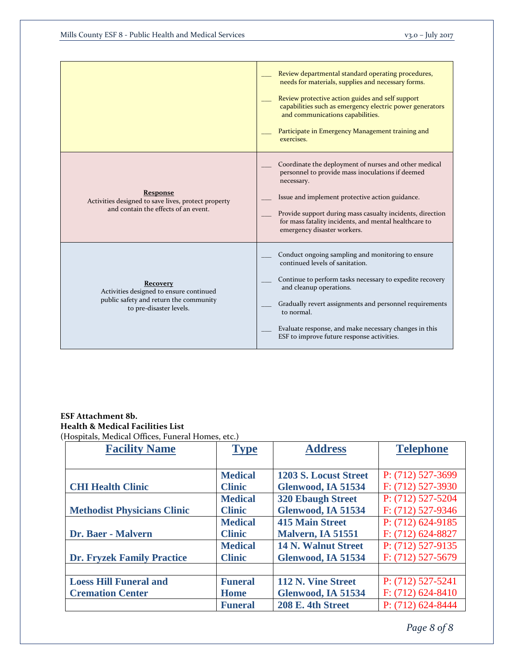|                                                                                                                                 | Review departmental standard operating procedures,<br>needs for materials, supplies and necessary forms.<br>Review protective action guides and self support<br>capabilities such as emergency electric power generators<br>and communications capabilities.<br>Participate in Emergency Management training and<br>exercises.                              |
|---------------------------------------------------------------------------------------------------------------------------------|-------------------------------------------------------------------------------------------------------------------------------------------------------------------------------------------------------------------------------------------------------------------------------------------------------------------------------------------------------------|
| <b>Response</b><br>Activities designed to save lives, protect property<br>and contain the effects of an event.                  | Coordinate the deployment of nurses and other medical<br>personnel to provide mass inoculations if deemed<br>necessary.<br>Issue and implement protective action guidance.<br>Provide support during mass casualty incidents, direction<br>for mass fatality incidents, and mental healthcare to<br>emergency disaster workers.                             |
| <b>Recovery</b><br>Activities designed to ensure continued<br>public safety and return the community<br>to pre-disaster levels. | Conduct ongoing sampling and monitoring to ensure<br>continued levels of sanitation.<br>Continue to perform tasks necessary to expedite recovery<br>and cleanup operations.<br>Gradually revert assignments and personnel requirements<br>to normal.<br>Evaluate response, and make necessary changes in this<br>ESF to improve future response activities. |

# **ESF Attachment 8b. Health & Medical Facilities List** (Hospitals, Medical Offices, Funeral Homes, etc.)

| <b>Facility Name</b>               | <b>Type</b>    | <b>Address</b>               | <b>Telephone</b>      |
|------------------------------------|----------------|------------------------------|-----------------------|
|                                    |                |                              |                       |
|                                    | <b>Medical</b> | <b>1203 S. Locust Street</b> | $P: (712)$ 527-3699   |
| <b>CHI Health Clinic</b>           | <b>Clinic</b>  | Glenwood, IA 51534           | $F: (712)$ 527-3930   |
|                                    | <b>Medical</b> | <b>320 Ebaugh Street</b>     | $P: (712) 527 - 5204$ |
| <b>Methodist Physicians Clinic</b> | <b>Clinic</b>  | Glenwood, IA 51534           | $F: (712)$ 527-9346   |
|                                    | <b>Medical</b> | <b>415 Main Street</b>       | $P: (712) 624-9185$   |
| Dr. Baer - Malvern                 | <b>Clinic</b>  | Malvern, IA 51551            | $F: (712) 624 - 8827$ |
|                                    | <b>Medical</b> | <b>14 N. Walnut Street</b>   | $P: (712) 527-9135$   |
| <b>Dr. Fryzek Family Practice</b>  | <b>Clinic</b>  | Glenwood, IA 51534           | $F: (712)$ 527-5679   |
|                                    |                |                              |                       |
| <b>Loess Hill Funeral and</b>      | <b>Funeral</b> | 112 N. Vine Street           | $P: (712) 527 - 5241$ |
| <b>Cremation Center</b>            | <b>Home</b>    | Glenwood, IA 51534           | $F: (712) 624 - 8410$ |
|                                    | <b>Funeral</b> | <b>208 E. 4th Street</b>     | $P: (712) 624 - 8444$ |

*Page 8 of 8*